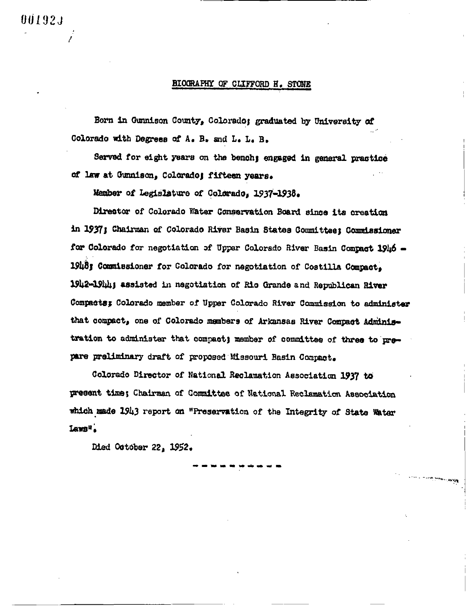BIOGRAPHY OF CLIFFORD H. STONE

Born in Gunnison County, Colorado; graduated by University of Colorado with Degrees of A. B. and L. L. B.

Sarved for eight years on the bench; engaged in general practice of law at Gunnison, Colorado; fifteen years.

Member of Legislature of Colorado, 1937-1938.

Director of Colorado Water Conservation Board since its creation in 1937; Chairman of Colorado River Basin States Committee; Commissioner for Colorado for negotiation of Upper Colorado River Basin Compact 1946 -1948; Commissioner for Colorado for negotiation of Costilla Compact, 1942-1944; assisted in negotiation of Rio Grande and Republican River Compacts; Colorado member of Upper Colorado River Commission to administer that compact, one of Colorado members of Arkansas River Compact Administration to administar that compact; member of committee of three to prepare preliminary draft of proposed Missouri Basin Compact.

Colorado Director of National Reclamation Association 1937 to present time; Chairman of Committee of National Reclamation Association which made 1943 report on "Preservation of the Integrity of State Water Laws".

**Contract Property Address** 

Died October 22, 1952.

001923